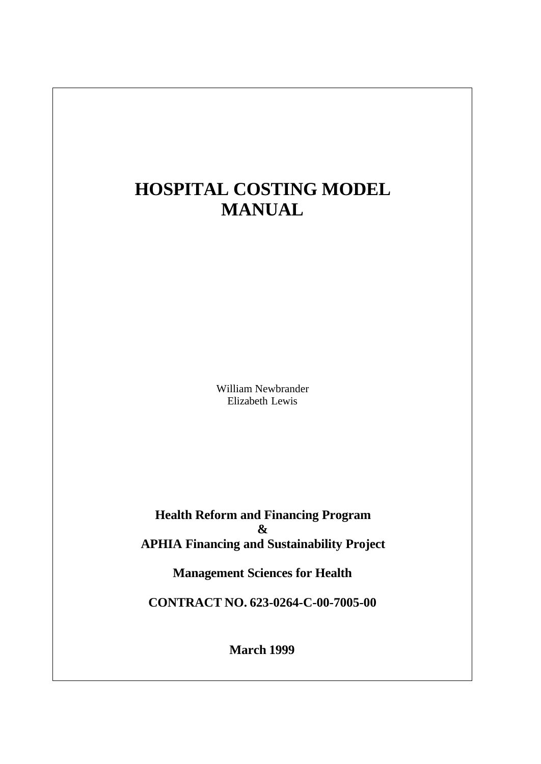# **HOSPITAL COSTING MODEL MANUAL**

William Newbrander Elizabeth Lewis

**Health Reform and Financing Program & APHIA Financing and Sustainability Project**

**Management Sciences for Health**

**CONTRACT NO. 623-0264-C-00-7005-00**

**March 1999**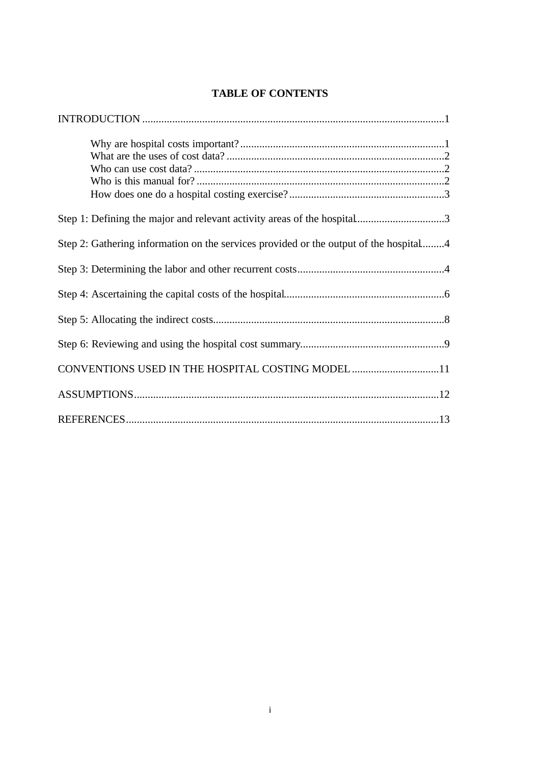| Step 1: Defining the major and relevant activity areas of the hospital3               |
|---------------------------------------------------------------------------------------|
| Step 2: Gathering information on the services provided or the output of the hospital4 |
|                                                                                       |
|                                                                                       |
|                                                                                       |
|                                                                                       |
| CONVENTIONS USED IN THE HOSPITAL COSTING MODEL 11                                     |
|                                                                                       |
|                                                                                       |

# **TABLE OF CONTENTS**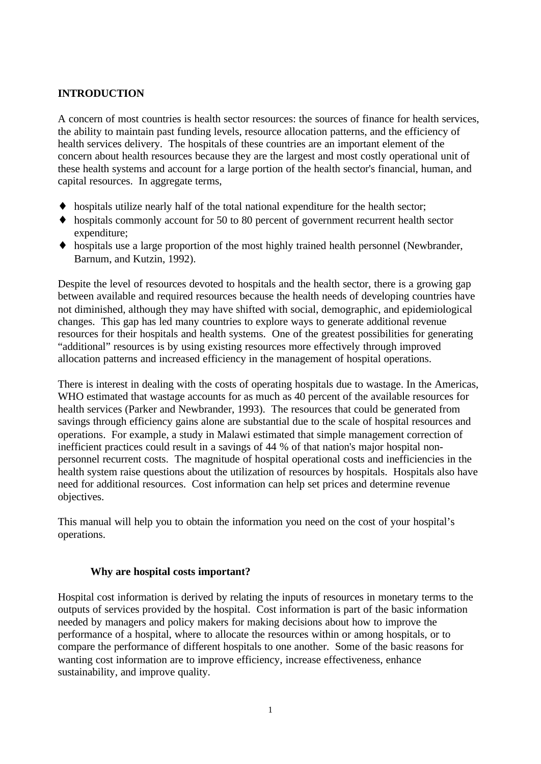# **INTRODUCTION**

A concern of most countries is health sector resources: the sources of finance for health services, the ability to maintain past funding levels, resource allocation patterns, and the efficiency of health services delivery. The hospitals of these countries are an important element of the concern about health resources because they are the largest and most costly operational unit of these health systems and account for a large portion of the health sector's financial, human, and capital resources. In aggregate terms,

- ♦ hospitals utilize nearly half of the total national expenditure for the health sector;
- ♦ hospitals commonly account for 50 to 80 percent of government recurrent health sector expenditure;
- ♦ hospitals use a large proportion of the most highly trained health personnel (Newbrander, Barnum, and Kutzin, 1992).

Despite the level of resources devoted to hospitals and the health sector, there is a growing gap between available and required resources because the health needs of developing countries have not diminished, although they may have shifted with social, demographic, and epidemiological changes. This gap has led many countries to explore ways to generate additional revenue resources for their hospitals and health systems. One of the greatest possibilities for generating "additional" resources is by using existing resources more effectively through improved allocation patterns and increased efficiency in the management of hospital operations.

There is interest in dealing with the costs of operating hospitals due to wastage. In the Americas, WHO estimated that wastage accounts for as much as 40 percent of the available resources for health services (Parker and Newbrander, 1993). The resources that could be generated from savings through efficiency gains alone are substantial due to the scale of hospital resources and operations. For example, a study in Malawi estimated that simple management correction of inefficient practices could result in a savings of 44 % of that nation's major hospital nonpersonnel recurrent costs. The magnitude of hospital operational costs and inefficiencies in the health system raise questions about the utilization of resources by hospitals. Hospitals also have need for additional resources. Cost information can help set prices and determine revenue objectives.

This manual will help you to obtain the information you need on the cost of your hospital's operations.

# **Why are hospital costs important?**

Hospital cost information is derived by relating the inputs of resources in monetary terms to the outputs of services provided by the hospital. Cost information is part of the basic information needed by managers and policy makers for making decisions about how to improve the performance of a hospital, where to allocate the resources within or among hospitals, or to compare the performance of different hospitals to one another. Some of the basic reasons for wanting cost information are to improve efficiency, increase effectiveness, enhance sustainability, and improve quality.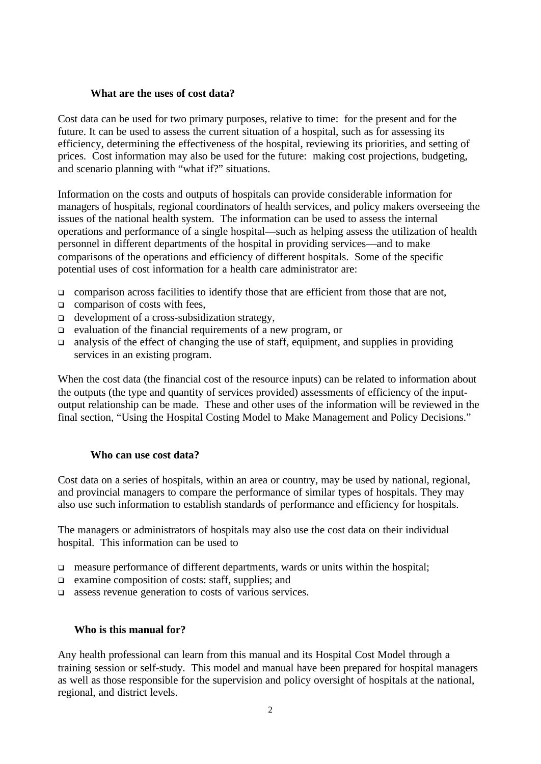# **What are the uses of cost data?**

Cost data can be used for two primary purposes, relative to time: for the present and for the future. It can be used to assess the current situation of a hospital, such as for assessing its efficiency, determining the effectiveness of the hospital, reviewing its priorities, and setting of prices. Cost information may also be used for the future: making cost projections, budgeting, and scenario planning with "what if?" situations.

Information on the costs and outputs of hospitals can provide considerable information for managers of hospitals, regional coordinators of health services, and policy makers overseeing the issues of the national health system. The information can be used to assess the internal operations and performance of a single hospital—such as helping assess the utilization of health personnel in different departments of the hospital in providing services—and to make comparisons of the operations and efficiency of different hospitals. Some of the specific potential uses of cost information for a health care administrator are:

- $\Box$  comparison across facilities to identify those that are efficient from those that are not,
- $\Box$  comparison of costs with fees,
- $\Box$  development of a cross-subsidization strategy,
- <sup>q</sup> evaluation of the financial requirements of a new program, or
- $\Box$  analysis of the effect of changing the use of staff, equipment, and supplies in providing services in an existing program.

When the cost data (the financial cost of the resource inputs) can be related to information about the outputs (the type and quantity of services provided) assessments of efficiency of the inputoutput relationship can be made. These and other uses of the information will be reviewed in the final section, "Using the Hospital Costing Model to Make Management and Policy Decisions."

# **Who can use cost data?**

Cost data on a series of hospitals, within an area or country, may be used by national, regional, and provincial managers to compare the performance of similar types of hospitals. They may also use such information to establish standards of performance and efficiency for hospitals.

The managers or administrators of hospitals may also use the cost data on their individual hospital. This information can be used to

- $\Box$  measure performance of different departments, wards or units within the hospital;
- $\Box$  examine composition of costs: staff, supplies; and
- **q** assess revenue generation to costs of various services.

# **Who is this manual for?**

Any health professional can learn from this manual and its Hospital Cost Model through a training session or self-study. This model and manual have been prepared for hospital managers as well as those responsible for the supervision and policy oversight of hospitals at the national, regional, and district levels.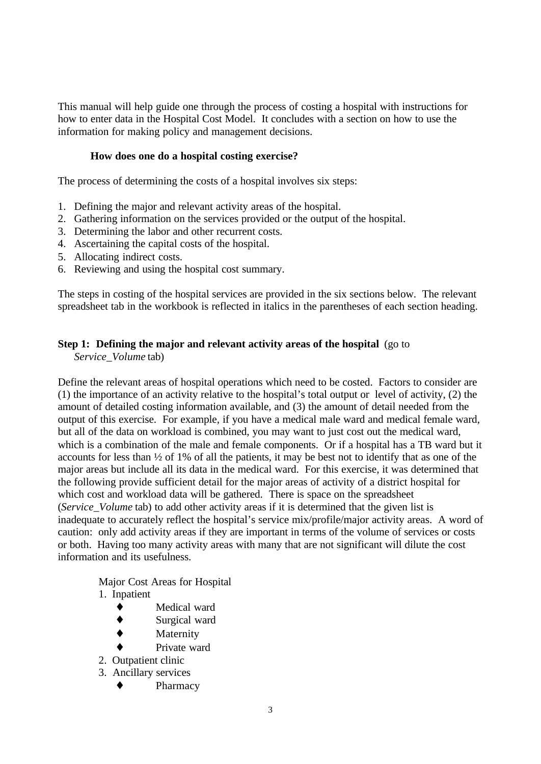This manual will help guide one through the process of costing a hospital with instructions for how to enter data in the Hospital Cost Model. It concludes with a section on how to use the information for making policy and management decisions.

# **How does one do a hospital costing exercise?**

The process of determining the costs of a hospital involves six steps:

- 1. Defining the major and relevant activity areas of the hospital.
- 2. Gathering information on the services provided or the output of the hospital.
- 3. Determining the labor and other recurrent costs.
- 4. Ascertaining the capital costs of the hospital.
- 5. Allocating indirect costs.
- 6. Reviewing and using the hospital cost summary.

The steps in costing of the hospital services are provided in the six sections below. The relevant spreadsheet tab in the workbook is reflected in italics in the parentheses of each section heading.

# **Step 1: Defining the major and relevant activity areas of the hospital** (go to

*Service\_Volume* tab)

Define the relevant areas of hospital operations which need to be costed. Factors to consider are (1) the importance of an activity relative to the hospital's total output or level of activity, (2) the amount of detailed costing information available, and (3) the amount of detail needed from the output of this exercise. For example, if you have a medical male ward and medical female ward, but all of the data on workload is combined, you may want to just cost out the medical ward, which is a combination of the male and female components. Or if a hospital has a TB ward but it accounts for less than ½ of 1% of all the patients, it may be best not to identify that as one of the major areas but include all its data in the medical ward. For this exercise, it was determined that the following provide sufficient detail for the major areas of activity of a district hospital for which cost and workload data will be gathered. There is space on the spreadsheet (*Service\_Volume* tab) to add other activity areas if it is determined that the given list is inadequate to accurately reflect the hospital's service mix/profile/major activity areas. A word of caution: only add activity areas if they are important in terms of the volume of services or costs or both. Having too many activity areas with many that are not significant will dilute the cost information and its usefulness.

Major Cost Areas for Hospital

- 1. Inpatient
	- ♦ Medical ward
	- ♦ Surgical ward
	- Maternity
	- Private ward
- 2. Outpatient clinic
- 3. Ancillary services
	- ♦ Pharmacy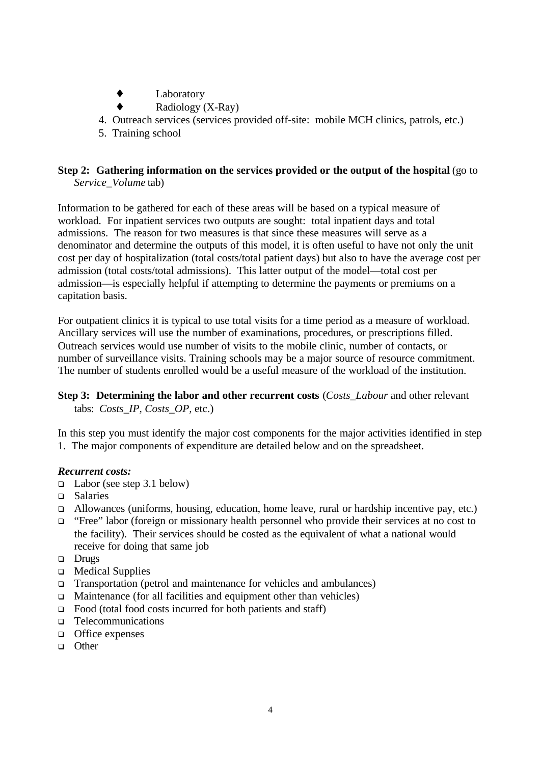- ♦ Laboratory
- Radiology (X-Ray)
- 4. Outreach services (services provided off-site: mobile MCH clinics, patrols, etc.)
- 5. Training school

# **Step 2: Gathering information on the services provided or the output of the hospital** (go to *Service\_Volume* tab)

Information to be gathered for each of these areas will be based on a typical measure of workload. For inpatient services two outputs are sought: total inpatient days and total admissions. The reason for two measures is that since these measures will serve as a denominator and determine the outputs of this model, it is often useful to have not only the unit cost per day of hospitalization (total costs/total patient days) but also to have the average cost per admission (total costs/total admissions). This latter output of the model—total cost per admission—is especially helpful if attempting to determine the payments or premiums on a capitation basis.

For outpatient clinics it is typical to use total visits for a time period as a measure of workload. Ancillary services will use the number of examinations, procedures, or prescriptions filled. Outreach services would use number of visits to the mobile clinic, number of contacts, or number of surveillance visits. Training schools may be a major source of resource commitment. The number of students enrolled would be a useful measure of the workload of the institution.

# **Step 3: Determining the labor and other recurrent costs** (*Costs\_Labour* and other relevant tabs: *Costs\_IP, Costs\_OP,* etc.)

In this step you must identify the major cost components for the major activities identified in step 1. The major components of expenditure are detailed below and on the spreadsheet.

# *Recurrent costs:*

- $\Box$  Labor (see step 3.1 below)
- <sup>q</sup> Salaries
- <sup>q</sup> Allowances (uniforms, housing, education, home leave, rural or hardship incentive pay, etc.)
- <sup>q</sup> "Free" labor (foreign or missionary health personnel who provide their services at no cost to the facility). Their services should be costed as the equivalent of what a national would receive for doing that same job
- **Drugs**
- **Q** Medical Supplies
- □ Transportation (petrol and maintenance for vehicles and ambulances)
- $\Box$  Maintenance (for all facilities and equipment other than vehicles)
- $\Box$  Food (total food costs incurred for both patients and staff)
- <sup>q</sup> Telecommunications
- $\Box$  Office expenses
- <sup>q</sup> Other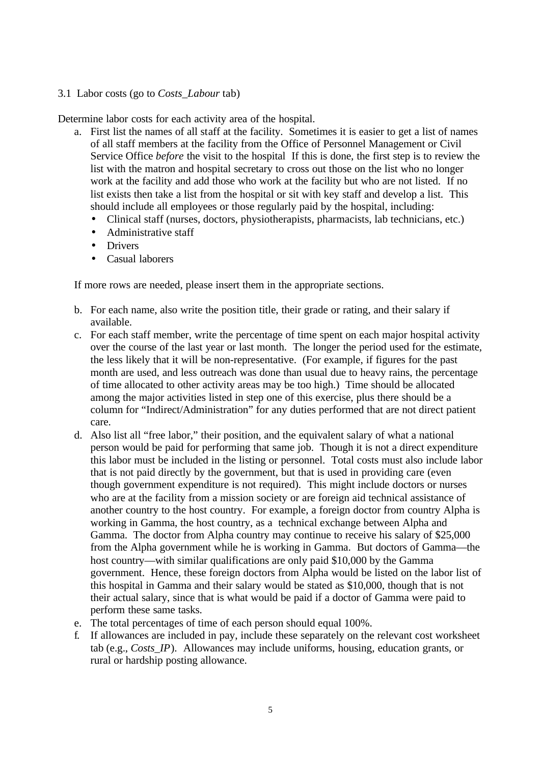# 3.1 Labor costs (go to *Costs\_Labour* tab)

Determine labor costs for each activity area of the hospital.

- a. First list the names of all staff at the facility. Sometimes it is easier to get a list of names of all staff members at the facility from the Office of Personnel Management or Civil Service Office *before* the visit to the hospital If this is done, the first step is to review the list with the matron and hospital secretary to cross out those on the list who no longer work at the facility and add those who work at the facility but who are not listed. If no list exists then take a list from the hospital or sit with key staff and develop a list. This should include all employees or those regularly paid by the hospital, including:
	- Clinical staff (nurses, doctors, physiotherapists, pharmacists, lab technicians, etc.)
	- Administrative staff
	- Drivers
	- Casual laborers

If more rows are needed, please insert them in the appropriate sections.

- b. For each name, also write the position title, their grade or rating, and their salary if available.
- c. For each staff member, write the percentage of time spent on each major hospital activity over the course of the last year or last month. The longer the period used for the estimate, the less likely that it will be non-representative. (For example, if figures for the past month are used, and less outreach was done than usual due to heavy rains, the percentage of time allocated to other activity areas may be too high.) Time should be allocated among the major activities listed in step one of this exercise, plus there should be a column for "Indirect/Administration" for any duties performed that are not direct patient care.
- d. Also list all "free labor," their position, and the equivalent salary of what a national person would be paid for performing that same job. Though it is not a direct expenditure this labor must be included in the listing or personnel. Total costs must also include labor that is not paid directly by the government, but that is used in providing care (even though government expenditure is not required). This might include doctors or nurses who are at the facility from a mission society or are foreign aid technical assistance of another country to the host country. For example, a foreign doctor from country Alpha is working in Gamma, the host country, as a technical exchange between Alpha and Gamma. The doctor from Alpha country may continue to receive his salary of \$25,000 from the Alpha government while he is working in Gamma. But doctors of Gamma—the host country—with similar qualifications are only paid \$10,000 by the Gamma government. Hence, these foreign doctors from Alpha would be listed on the labor list of this hospital in Gamma and their salary would be stated as \$10,000, though that is not their actual salary, since that is what would be paid if a doctor of Gamma were paid to perform these same tasks.
- e. The total percentages of time of each person should equal 100%.
- f. If allowances are included in pay, include these separately on the relevant cost worksheet tab (e.g., *Costs\_IP*). Allowances may include uniforms, housing, education grants, or rural or hardship posting allowance.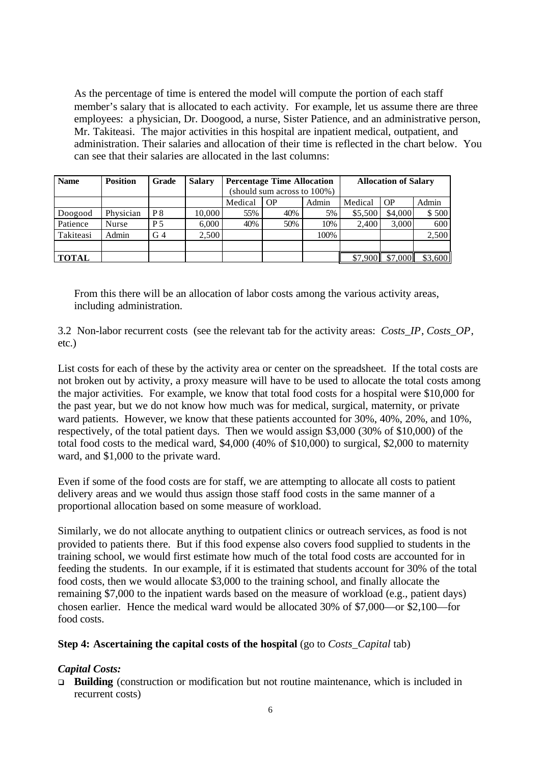As the percentage of time is entered the model will compute the portion of each staff member's salary that is allocated to each activity. For example, let us assume there are three employees: a physician, Dr. Doogood, a nurse, Sister Patience, and an administrative person, Mr. Takiteasi. The major activities in this hospital are inpatient medical, outpatient, and administration. Their salaries and allocation of their time is reflected in the chart below. You can see that their salaries are allocated in the last columns:

| <b>Name</b>  | <b>Position</b> | Grade          | <b>Salary</b> | <b>Percentage Time Allocation</b> |     |       | <b>Allocation of Salary</b> |         |         |
|--------------|-----------------|----------------|---------------|-----------------------------------|-----|-------|-----------------------------|---------|---------|
|              |                 |                |               | (should sum across to 100%)       |     |       |                             |         |         |
|              |                 |                |               | Medical                           | OP  | Admin | Medical                     | OP      | Admin   |
| Doogood      | Physician       | P <sup>8</sup> | 10.000        | 55%                               | 40% | 5%    | \$5,500                     | \$4,000 | \$500   |
| Patience     | <b>Nurse</b>    | P 5            | 6,000         | 40%                               | 50% | 10%   | 2.400                       | 3,000   | 600     |
| Takiteasi    | Admin           | G <sub>4</sub> | 2,500         |                                   |     | 100%  |                             |         | 2,500   |
|              |                 |                |               |                                   |     |       |                             |         |         |
| <b>TOTAL</b> |                 |                |               |                                   |     |       | \$7.90                      | \$7,000 | \$3,600 |

From this there will be an allocation of labor costs among the various activity areas, including administration.

3.2 Non-labor recurrent costs (see the relevant tab for the activity areas: *Costs\_IP*, *Costs\_OP*, etc.)

List costs for each of these by the activity area or center on the spreadsheet. If the total costs are not broken out by activity, a proxy measure will have to be used to allocate the total costs among the major activities. For example, we know that total food costs for a hospital were \$10,000 for the past year, but we do not know how much was for medical, surgical, maternity, or private ward patients. However, we know that these patients accounted for 30%, 40%, 20%, and 10%, respectively, of the total patient days. Then we would assign \$3,000 (30% of \$10,000) of the total food costs to the medical ward, \$4,000 (40% of \$10,000) to surgical, \$2,000 to maternity ward, and \$1,000 to the private ward.

Even if some of the food costs are for staff, we are attempting to allocate all costs to patient delivery areas and we would thus assign those staff food costs in the same manner of a proportional allocation based on some measure of workload.

Similarly, we do not allocate anything to outpatient clinics or outreach services, as food is not provided to patients there. But if this food expense also covers food supplied to students in the training school, we would first estimate how much of the total food costs are accounted for in feeding the students. In our example, if it is estimated that students account for 30% of the total food costs, then we would allocate \$3,000 to the training school, and finally allocate the remaining \$7,000 to the inpatient wards based on the measure of workload (e.g., patient days) chosen earlier. Hence the medical ward would be allocated 30% of \$7,000—or \$2,100—for food costs.

# **Step 4: Ascertaining the capital costs of the hospital** (go to *Costs\_Capital* tab)

#### *Capital Costs:*

□ **Building** (construction or modification but not routine maintenance, which is included in recurrent costs)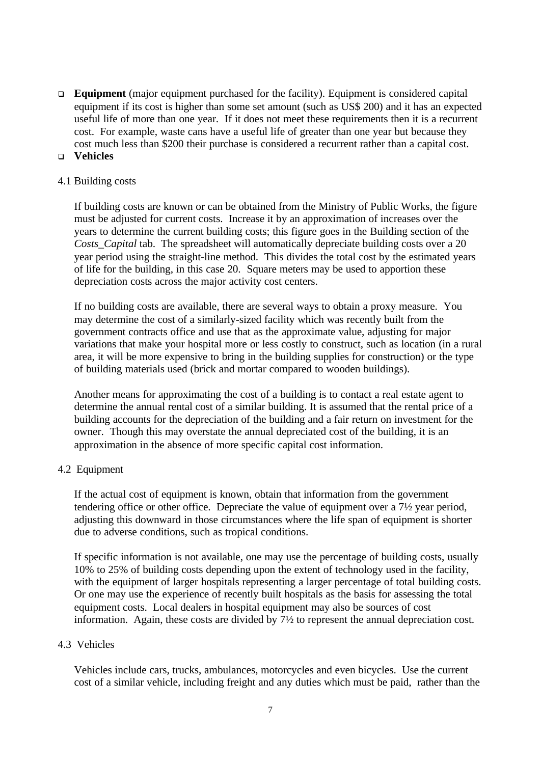**Equipment** (major equipment purchased for the facility). Equipment is considered capital equipment if its cost is higher than some set amount (such as US\$ 200) and it has an expected useful life of more than one year. If it does not meet these requirements then it is a recurrent cost. For example, waste cans have a useful life of greater than one year but because they cost much less than \$200 their purchase is considered a recurrent rather than a capital cost. <sup>q</sup> **Vehicles**

### 4.1 Building costs

If building costs are known or can be obtained from the Ministry of Public Works, the figure must be adjusted for current costs. Increase it by an approximation of increases over the years to determine the current building costs; this figure goes in the Building section of the *Costs\_Capital* tab. The spreadsheet will automatically depreciate building costs over a 20 year period using the straight-line method. This divides the total cost by the estimated years of life for the building, in this case 20. Square meters may be used to apportion these depreciation costs across the major activity cost centers.

If no building costs are available, there are several ways to obtain a proxy measure. You may determine the cost of a similarly-sized facility which was recently built from the government contracts office and use that as the approximate value, adjusting for major variations that make your hospital more or less costly to construct, such as location (in a rural area, it will be more expensive to bring in the building supplies for construction) or the type of building materials used (brick and mortar compared to wooden buildings).

Another means for approximating the cost of a building is to contact a real estate agent to determine the annual rental cost of a similar building. It is assumed that the rental price of a building accounts for the depreciation of the building and a fair return on investment for the owner. Though this may overstate the annual depreciated cost of the building, it is an approximation in the absence of more specific capital cost information.

# 4.2 Equipment

If the actual cost of equipment is known, obtain that information from the government tendering office or other office. Depreciate the value of equipment over a 7½ year period, adjusting this downward in those circumstances where the life span of equipment is shorter due to adverse conditions, such as tropical conditions.

If specific information is not available, one may use the percentage of building costs, usually 10% to 25% of building costs depending upon the extent of technology used in the facility, with the equipment of larger hospitals representing a larger percentage of total building costs. Or one may use the experience of recently built hospitals as the basis for assessing the total equipment costs. Local dealers in hospital equipment may also be sources of cost information. Again, these costs are divided by 7½ to represent the annual depreciation cost.

# 4.3 Vehicles

Vehicles include cars, trucks, ambulances, motorcycles and even bicycles. Use the current cost of a similar vehicle, including freight and any duties which must be paid, rather than the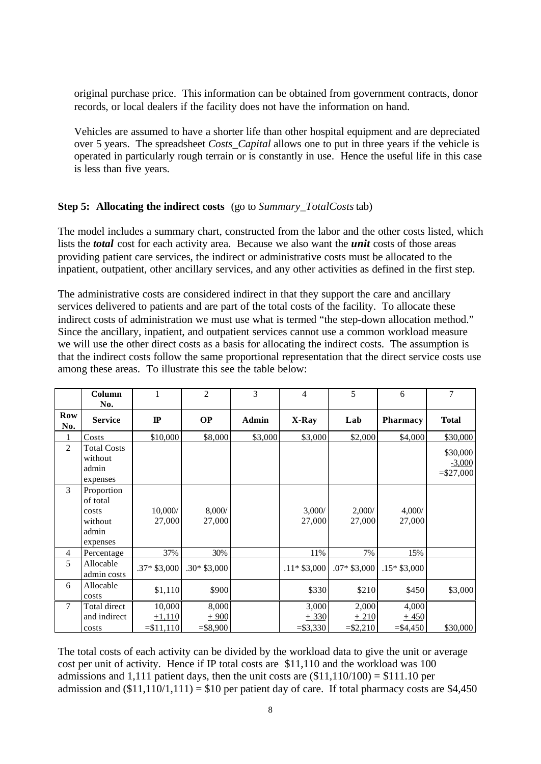original purchase price. This information can be obtained from government contracts, donor records, or local dealers if the facility does not have the information on hand.

Vehicles are assumed to have a shorter life than other hospital equipment and are depreciated over 5 years. The spreadsheet *Costs\_Capital* allows one to put in three years if the vehicle is operated in particularly rough terrain or is constantly in use. Hence the useful life in this case is less than five years.

#### **Step 5: Allocating the indirect costs** (go to *Summary\_TotalCosts* tab)

The model includes a summary chart, constructed from the labor and the other costs listed, which lists the *total* cost for each activity area. Because we also want the *unit* costs of those areas providing patient care services, the indirect or administrative costs must be allocated to the inpatient, outpatient, other ancillary services, and any other activities as defined in the first step.

The administrative costs are considered indirect in that they support the care and ancillary services delivered to patients and are part of the total costs of the facility. To allocate these indirect costs of administration we must use what is termed "the step-down allocation method." Since the ancillary, inpatient, and outpatient services cannot use a common workload measure we will use the other direct costs as a basis for allocating the indirect costs. The assumption is that the indirect costs follow the same proportional representation that the direct service costs use among these areas. To illustrate this see the table below:

|                | Column<br>No.                                                   | 1                                 | $\overline{2}$                | 3            | $\overline{4}$                | 5                             | 6                              | 7                                   |
|----------------|-----------------------------------------------------------------|-----------------------------------|-------------------------------|--------------|-------------------------------|-------------------------------|--------------------------------|-------------------------------------|
| Row<br>No.     | <b>Service</b>                                                  | $\mathbf{I}$                      | <b>OP</b>                     | <b>Admin</b> | X-Ray                         | Lab                           | <b>Pharmacy</b>                | <b>Total</b>                        |
|                | Costs                                                           | \$10,000                          | \$8,000                       | \$3,000      | \$3,000                       | \$2,000                       | \$4,000                        | \$30,000                            |
| $\overline{2}$ | <b>Total Costs</b><br>without<br>admin<br>expenses              |                                   |                               |              |                               |                               |                                | \$30,000<br>$-3,000$<br>$= $27,000$ |
| 3              | Proportion<br>of total<br>costs<br>without<br>admin<br>expenses | 10,000/<br>27,000                 | 8,000/<br>27,000              |              | 3,000/<br>27,000              | 2,000/<br>27,000              | 4,000/<br>27,000               |                                     |
| $\overline{4}$ | Percentage                                                      | 37%                               | 30%                           |              | 11%                           | 7%                            | 15%                            |                                     |
| 5              | Allocable<br>admin costs                                        | $.37*$ \$3,000                    | $.30*$ \$3,000                |              | $.11*$ \$3,000                | $.07* $3,000$                 | $.15*$ \$3,000                 |                                     |
| 6              | Allocable<br>costs                                              | \$1,110                           | \$900                         |              | \$330                         | \$210                         | \$450                          | \$3,000                             |
| $\tau$         | Total direct<br>and indirect<br>costs                           | 10,000<br>$+1.110$<br>$= $11,110$ | 8,000<br>$+900$<br>$= $8,900$ |              | 3,000<br>$+330$<br>$= $3,330$ | 2,000<br>$+210$<br>$= $2,210$ | 4,000<br>$+450$<br>$=$ \$4,450 | \$30,000                            |

The total costs of each activity can be divided by the workload data to give the unit or average cost per unit of activity. Hence if IP total costs are \$11,110 and the workload was 100 admissions and 1,111 patient days, then the unit costs are  $(\$11,110/100) = \$111.10$  per admission and  $(\$11,110/1,111) = \$10$  per patient day of care. If total pharmacy costs are \$4,450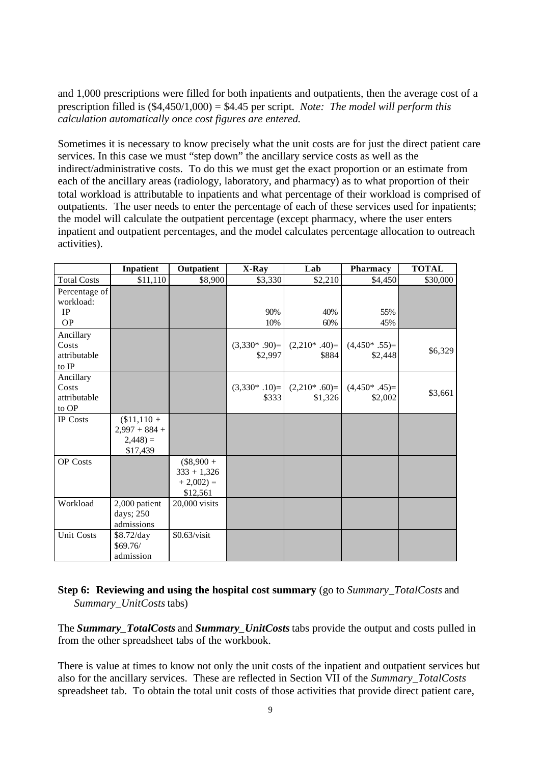and 1,000 prescriptions were filled for both inpatients and outpatients, then the average cost of a prescription filled is (\$4,450/1,000) = \$4.45 per script. *Note: The model will perform this calculation automatically once cost figures are entered.*

Sometimes it is necessary to know precisely what the unit costs are for just the direct patient care services. In this case we must "step down" the ancillary service costs as well as the indirect/administrative costs. To do this we must get the exact proportion or an estimate from each of the ancillary areas (radiology, laboratory, and pharmacy) as to what proportion of their total workload is attributable to inpatients and what percentage of their workload is comprised of outpatients. The user needs to enter the percentage of each of these services used for inpatients; the model will calculate the outpatient percentage (except pharmacy, where the user enters inpatient and outpatient percentages, and the model calculates percentage allocation to outreach activities).

|                                             | Inpatient                                                | Outpatient                                              | X-Ray                        | Lab                        | Pharmacy                       | <b>TOTAL</b> |
|---------------------------------------------|----------------------------------------------------------|---------------------------------------------------------|------------------------------|----------------------------|--------------------------------|--------------|
| <b>Total Costs</b>                          | \$11,110                                                 | \$8,900                                                 | \$3,330                      | \$2,210                    | \$4,450                        | \$30,000     |
| Percentage of<br>workload:<br>IP            |                                                          |                                                         | 90%                          | 40%                        | 55%                            |              |
| <b>OP</b>                                   |                                                          |                                                         | 10%                          | 60%                        | 45%                            |              |
| Ancillary<br>Costs<br>attributable<br>to IP |                                                          |                                                         | $(3,330^* .90)$ =<br>\$2,997 | $(2,210^* .40)=$<br>\$884  | $(4,450*.55)$ =<br>\$2,448     | \$6,329      |
| Ancillary<br>Costs<br>attributable<br>to OP |                                                          |                                                         | $(3,330^* .10)$ =<br>\$333   | $(2,210^* .60)$<br>\$1,326 | $(4,450^*$ .45 $)=$<br>\$2,002 | \$3,661      |
| <b>IP</b> Costs                             | $$11,110+$<br>$2,997 + 884 +$<br>$2,448$ ) =<br>\$17,439 |                                                         |                              |                            |                                |              |
| OP Costs                                    |                                                          | $(\$8,900 +$<br>$333 + 1,326$<br>$+2,002$ =<br>\$12,561 |                              |                            |                                |              |
| Workload                                    | 2,000 patient<br>days; 250<br>admissions                 | 20,000 visits                                           |                              |                            |                                |              |
| <b>Unit Costs</b>                           | \$8.72/day<br>\$69.76/<br>admission                      | $$0.63/\text{visit}$                                    |                              |                            |                                |              |

# **Step 6: Reviewing and using the hospital cost summary** (go to *Summary\_TotalCosts* and *Summary\_UnitCosts* tabs)

The *Summary\_TotalCosts* and *Summary\_UnitCosts* tabs provide the output and costs pulled in from the other spreadsheet tabs of the workbook.

There is value at times to know not only the unit costs of the inpatient and outpatient services but also for the ancillary services. These are reflected in Section VII of the *Summary\_TotalCosts* spreadsheet tab. To obtain the total unit costs of those activities that provide direct patient care,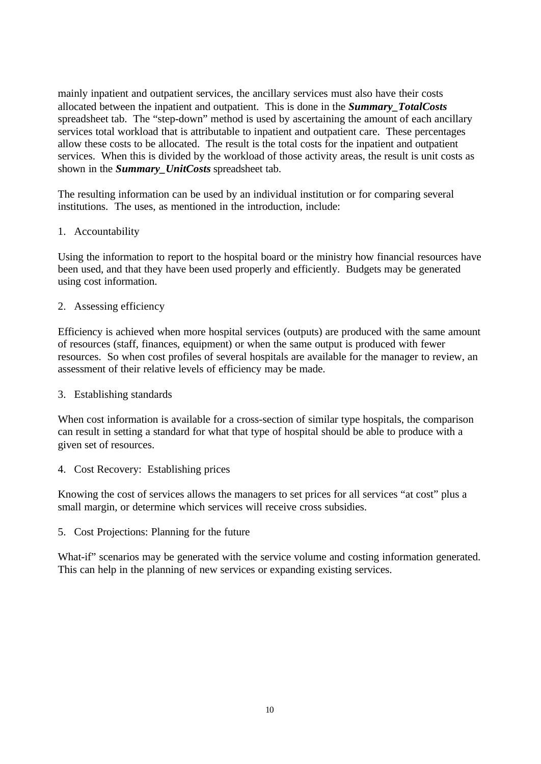mainly inpatient and outpatient services, the ancillary services must also have their costs allocated between the inpatient and outpatient. This is done in the *Summary\_TotalCosts* spreadsheet tab. The "step-down" method is used by ascertaining the amount of each ancillary services total workload that is attributable to inpatient and outpatient care. These percentages allow these costs to be allocated. The result is the total costs for the inpatient and outpatient services. When this is divided by the workload of those activity areas, the result is unit costs as shown in the *Summary\_UnitCosts* spreadsheet tab.

The resulting information can be used by an individual institution or for comparing several institutions. The uses, as mentioned in the introduction, include:

# 1. Accountability

Using the information to report to the hospital board or the ministry how financial resources have been used, and that they have been used properly and efficiently. Budgets may be generated using cost information.

# 2. Assessing efficiency

Efficiency is achieved when more hospital services (outputs) are produced with the same amount of resources (staff, finances, equipment) or when the same output is produced with fewer resources. So when cost profiles of several hospitals are available for the manager to review, an assessment of their relative levels of efficiency may be made.

# 3. Establishing standards

When cost information is available for a cross-section of similar type hospitals, the comparison can result in setting a standard for what that type of hospital should be able to produce with a given set of resources.

4. Cost Recovery: Establishing prices

Knowing the cost of services allows the managers to set prices for all services "at cost" plus a small margin, or determine which services will receive cross subsidies.

5. Cost Projections: Planning for the future

What-if" scenarios may be generated with the service volume and costing information generated. This can help in the planning of new services or expanding existing services.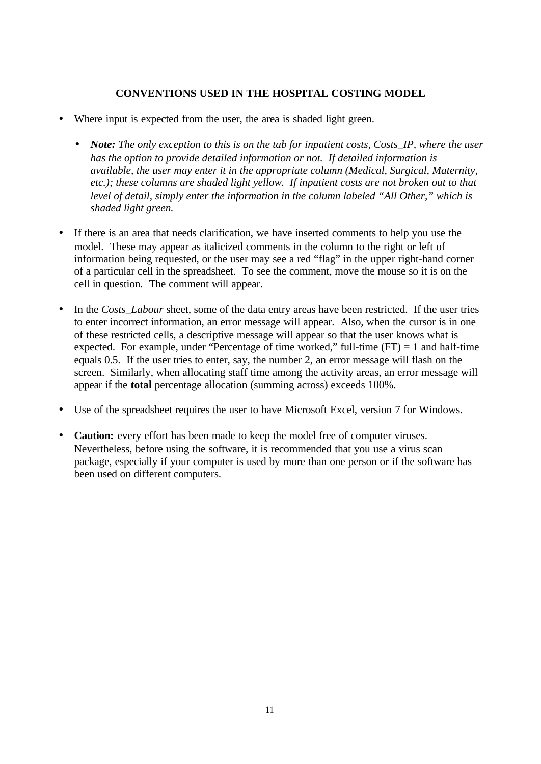# **CONVENTIONS USED IN THE HOSPITAL COSTING MODEL**

- Where input is expected from the user, the area is shaded light green.
	- *Note: The only exception to this is on the tab for inpatient costs, Costs\_IP, where the user has the option to provide detailed information or not. If detailed information is available, the user may enter it in the appropriate column (Medical, Surgical, Maternity, etc.); these columns are shaded light yellow. If inpatient costs are not broken out to that level of detail, simply enter the information in the column labeled "All Other," which is shaded light green.*
- If there is an area that needs clarification, we have inserted comments to help you use the model. These may appear as italicized comments in the column to the right or left of information being requested, or the user may see a red "flag" in the upper right-hand corner of a particular cell in the spreadsheet. To see the comment, move the mouse so it is on the cell in question. The comment will appear.
- In the *Costs\_Labour* sheet, some of the data entry areas have been restricted. If the user tries to enter incorrect information, an error message will appear. Also, when the cursor is in one of these restricted cells, a descriptive message will appear so that the user knows what is expected. For example, under "Percentage of time worked," full-time  $(FT) = 1$  and half-time equals 0.5. If the user tries to enter, say, the number 2, an error message will flash on the screen. Similarly, when allocating staff time among the activity areas, an error message will appear if the **total** percentage allocation (summing across) exceeds 100%.
- Use of the spreadsheet requires the user to have Microsoft Excel, version 7 for Windows.
- **Caution:** every effort has been made to keep the model free of computer viruses. Nevertheless, before using the software, it is recommended that you use a virus scan package, especially if your computer is used by more than one person or if the software has been used on different computers.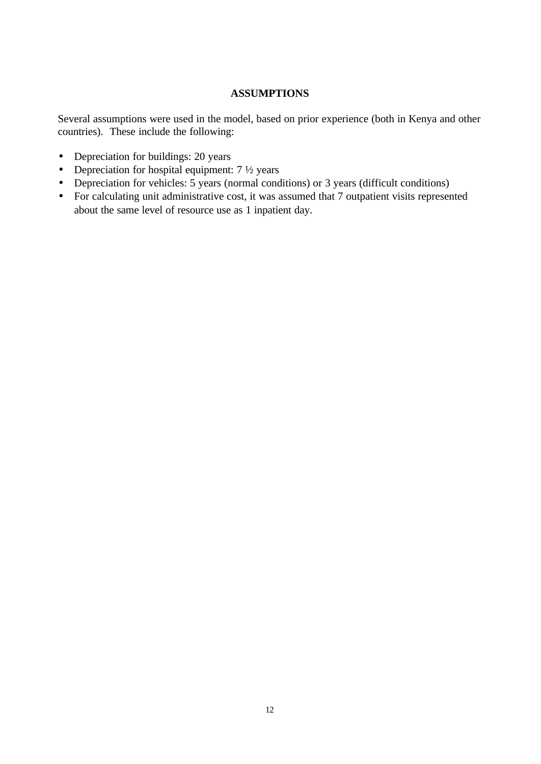# **ASSUMPTIONS**

Several assumptions were used in the model, based on prior experience (both in Kenya and other countries). These include the following:

- Depreciation for buildings: 20 years
- Depreciation for hospital equipment:  $7\frac{1}{2}$  years
- Depreciation for vehicles: 5 years (normal conditions) or 3 years (difficult conditions)
- For calculating unit administrative cost, it was assumed that 7 outpatient visits represented about the same level of resource use as 1 inpatient day.